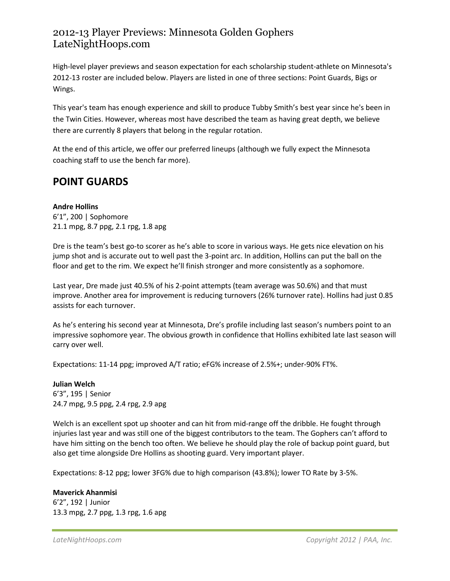High-level player previews and season expectation for each scholarship student-athlete on Minnesota's 2012-13 roster are included below. Players are listed in one of three sections: Point Guards, Bigs or Wings.

This year's team has enough experience and skill to produce Tubby Smith's best year since he's been in the Twin Cities. However, whereas most have described the team as having great depth, we believe there are currently 8 players that belong in the regular rotation.

At the end of this article, we offer our preferred lineups (although we fully expect the Minnesota coaching staff to use the bench far more).

# **POINT GUARDS**

**Andre Hollins** 6'1", 200 | Sophomore 21.1 mpg, 8.7 ppg, 2.1 rpg, 1.8 apg

Dre is the team's best go-to scorer as he's able to score in various ways. He gets nice elevation on his jump shot and is accurate out to well past the 3-point arc. In addition, Hollins can put the ball on the floor and get to the rim. We expect he'll finish stronger and more consistently as a sophomore.

Last year, Dre made just 40.5% of his 2-point attempts (team average was 50.6%) and that must improve. Another area for improvement is reducing turnovers (26% turnover rate). Hollins had just 0.85 assists for each turnover.

As he's entering his second year at Minnesota, Dre's profile including last season's numbers point to an impressive sophomore year. The obvious growth in confidence that Hollins exhibited late last season will carry over well.

Expectations: 11-14 ppg; improved A/T ratio; eFG% increase of 2.5%+; under-90% FT%.

**Julian Welch** 6'3", 195 | Senior 24.7 mpg, 9.5 ppg, 2.4 rpg, 2.9 apg

Welch is an excellent spot up shooter and can hit from mid-range off the dribble. He fought through injuries last year and was still one of the biggest contributors to the team. The Gophers can't afford to have him sitting on the bench too often. We believe he should play the role of backup point guard, but also get time alongside Dre Hollins as shooting guard. Very important player.

Expectations: 8-12 ppg; lower 3FG% due to high comparison (43.8%); lower TO Rate by 3-5%.

#### **Maverick Ahanmisi**

6'2", 192 | Junior 13.3 mpg, 2.7 ppg, 1.3 rpg, 1.6 apg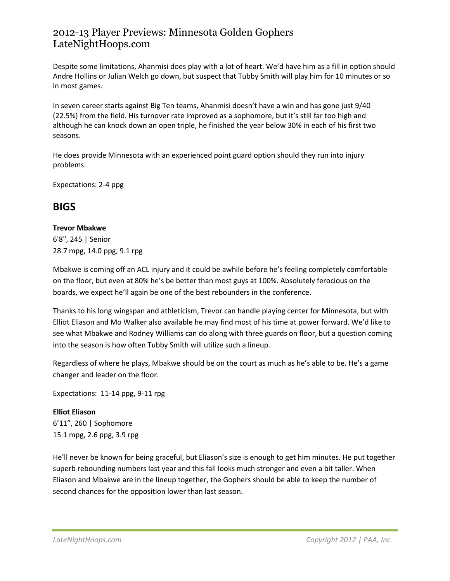Despite some limitations, Ahanmisi does play with a lot of heart. We'd have him as a fill in option should Andre Hollins or Julian Welch go down, but suspect that Tubby Smith will play him for 10 minutes or so in most games.

In seven career starts against Big Ten teams, Ahanmisi doesn't have a win and has gone just 9/40 (22.5%) from the field. His turnover rate improved as a sophomore, but it's still far too high and although he can knock down an open triple, he finished the year below 30% in each of his first two seasons.

He does provide Minnesota with an experienced point guard option should they run into injury problems.

Expectations: 2-4 ppg

## **BIGS**

#### **Trevor Mbakwe**

6'8", 245 | Senior 28.7 mpg, 14.0 ppg, 9.1 rpg

Mbakwe is coming off an ACL injury and it could be awhile before he's feeling completely comfortable on the floor, but even at 80% he's be better than most guys at 100%. Absolutely ferocious on the boards, we expect he'll again be one of the best rebounders in the conference.

Thanks to his long wingspan and athleticism, Trevor can handle playing center for Minnesota, but with Elliot Eliason and Mo Walker also available he may find most of his time at power forward. We'd like to see what Mbakwe and Rodney Williams can do along with three guards on floor, but a question coming into the season is how often Tubby Smith will utilize such a lineup.

Regardless of where he plays, Mbakwe should be on the court as much as he's able to be. He's a game changer and leader on the floor.

Expectations: 11-14 ppg, 9-11 rpg

**Elliot Eliason** 6'11", 260 | Sophomore 15.1 mpg, 2.6 ppg, 3.9 rpg

He'll never be known for being graceful, but Eliason's size is enough to get him minutes. He put together superb rebounding numbers last year and this fall looks much stronger and even a bit taller. When Eliason and Mbakwe are in the lineup together, the Gophers should be able to keep the number of second chances for the opposition lower than last season.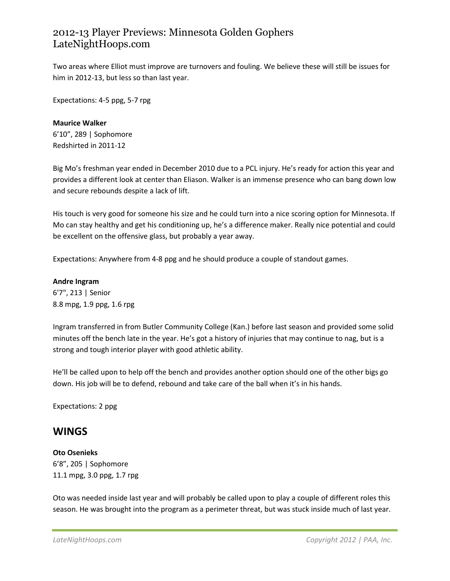Two areas where Elliot must improve are turnovers and fouling. We believe these will still be issues for him in 2012-13, but less so than last year.

Expectations: 4-5 ppg, 5-7 rpg

**Maurice Walker** 6'10", 289 | Sophomore Redshirted in 2011-12

Big Mo's freshman year ended in December 2010 due to a PCL injury. He's ready for action this year and provides a different look at center than Eliason. Walker is an immense presence who can bang down low and secure rebounds despite a lack of lift.

His touch is very good for someone his size and he could turn into a nice scoring option for Minnesota. If Mo can stay healthy and get his conditioning up, he's a difference maker. Really nice potential and could be excellent on the offensive glass, but probably a year away.

Expectations: Anywhere from 4-8 ppg and he should produce a couple of standout games.

**Andre Ingram** 6'7", 213 | Senior 8.8 mpg, 1.9 ppg, 1.6 rpg

Ingram transferred in from Butler Community College (Kan.) before last season and provided some solid minutes off the bench late in the year. He's got a history of injuries that may continue to nag, but is a strong and tough interior player with good athletic ability.

He'll be called upon to help off the bench and provides another option should one of the other bigs go down. His job will be to defend, rebound and take care of the ball when it's in his hands.

Expectations: 2 ppg

### **WINGS**

#### **Oto Osenieks**

6'8", 205 | Sophomore 11.1 mpg, 3.0 ppg, 1.7 rpg

Oto was needed inside last year and will probably be called upon to play a couple of different roles this season. He was brought into the program as a perimeter threat, but was stuck inside much of last year.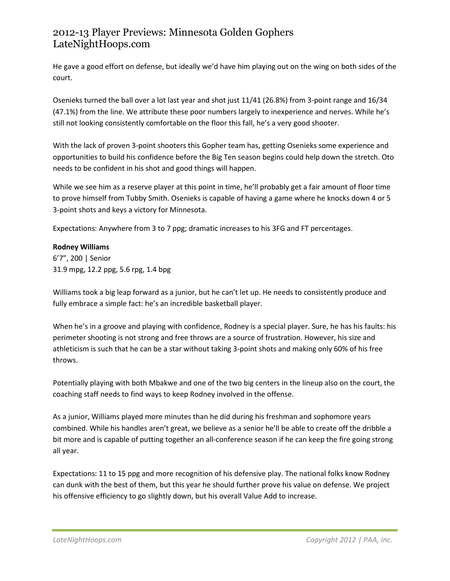He gave a good effort on defense, but ideally we'd have him playing out on the wing on both sides of the court.

Osenieks turned the ball over a lot last year and shot just 11/41 (26.8%) from 3-point range and 16/34 (47.1%) from the line. We attribute these poor numbers largely to inexperience and nerves. While he's still not looking consistently comfortable on the floor this fall, he's a very good shooter.

With the lack of proven 3-point shooters this Gopher team has, getting Osenieks some experience and opportunities to build his confidence before the Big Ten season begins could help down the stretch. Oto needs to be confident in his shot and good things will happen.

While we see him as a reserve player at this point in time, he'll probably get a fair amount of floor time to prove himself from Tubby Smith. Osenieks is capable of having a game where he knocks down 4 or 5 3-point shots and keys a victory for Minnesota.

Expectations: Anywhere from 3 to 7 ppg; dramatic increases to his 3FG and FT percentages.

#### **Rodney Williams**

6'7", 200 | Senior 31.9 mpg, 12.2 ppg, 5.6 rpg, 1.4 bpg

Williams took a big leap forward as a junior, but he can't let up. He needs to consistently produce and fully embrace a simple fact: he's an incredible basketball player.

When he's in a groove and playing with confidence, Rodney is a special player. Sure, he has his faults: his perimeter shooting is not strong and free throws are a source of frustration. However, his size and athleticism is such that he can be a star without taking 3-point shots and making only 60% of his free throws.

Potentially playing with both Mbakwe and one of the two big centers in the lineup also on the court, the coaching staff needs to find ways to keep Rodney involved in the offense.

As a junior, Williams played more minutes than he did during his freshman and sophomore years combined. While his handles aren't great, we believe as a senior he'll be able to create off the dribble a bit more and is capable of putting together an all-conference season if he can keep the fire going strong all year.

Expectations: 11 to 15 ppg and more recognition of his defensive play. The national folks know Rodney can dunk with the best of them, but this year he should further prove his value on defense. We project his offensive efficiency to go slightly down, but his overall Value Add to increase.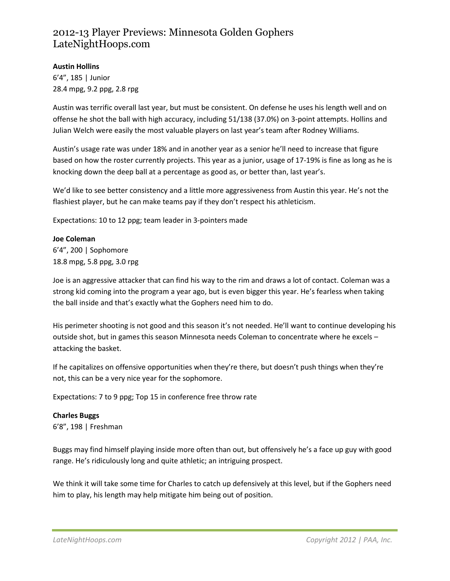#### **Austin Hollins**

6'4", 185 | Junior 28.4 mpg, 9.2 ppg, 2.8 rpg

Austin was terrific overall last year, but must be consistent. On defense he uses his length well and on offense he shot the ball with high accuracy, including 51/138 (37.0%) on 3-point attempts. Hollins and Julian Welch were easily the most valuable players on last year's team after Rodney Williams.

Austin's usage rate was under 18% and in another year as a senior he'll need to increase that figure based on how the roster currently projects. This year as a junior, usage of 17-19% is fine as long as he is knocking down the deep ball at a percentage as good as, or better than, last year's.

We'd like to see better consistency and a little more aggressiveness from Austin this year. He's not the flashiest player, but he can make teams pay if they don't respect his athleticism.

Expectations: 10 to 12 ppg; team leader in 3-pointers made

#### **Joe Coleman**

6'4", 200 | Sophomore 18.8 mpg, 5.8 ppg, 3.0 rpg

Joe is an aggressive attacker that can find his way to the rim and draws a lot of contact. Coleman was a strong kid coming into the program a year ago, but is even bigger this year. He's fearless when taking the ball inside and that's exactly what the Gophers need him to do.

His perimeter shooting is not good and this season it's not needed. He'll want to continue developing his outside shot, but in games this season Minnesota needs Coleman to concentrate where he excels – attacking the basket.

If he capitalizes on offensive opportunities when they're there, but doesn't push things when they're not, this can be a very nice year for the sophomore.

Expectations: 7 to 9 ppg; Top 15 in conference free throw rate

#### **Charles Buggs**

6'8", 198 | Freshman

Buggs may find himself playing inside more often than out, but offensively he's a face up guy with good range. He's ridiculously long and quite athletic; an intriguing prospect.

We think it will take some time for Charles to catch up defensively at this level, but if the Gophers need him to play, his length may help mitigate him being out of position.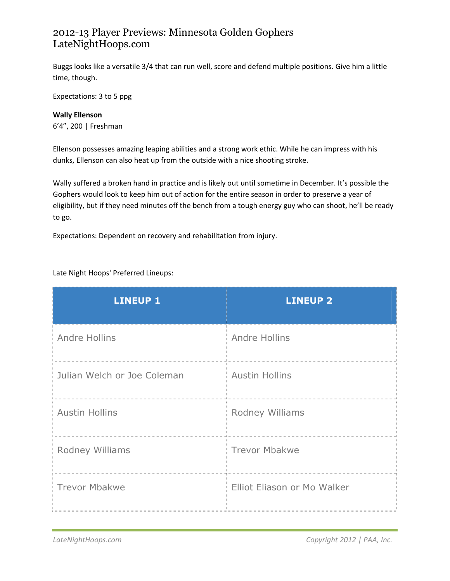Buggs looks like a versatile 3/4 that can run well, score and defend multiple positions. Give him a little time, though.

Expectations: 3 to 5 ppg

**Wally Ellenson** 6'4", 200 | Freshman

Ellenson possesses amazing leaping abilities and a strong work ethic. While he can impress with his dunks, Ellenson can also heat up from the outside with a nice shooting stroke.

Wally suffered a broken hand in practice and is likely out until sometime in December. It's possible the Gophers would look to keep him out of action for the entire season in order to preserve a year of eligibility, but if they need minutes off the bench from a tough energy guy who can shoot, he'll be ready to go.

Expectations: Dependent on recovery and rehabilitation from injury.

Late Night Hoops' Preferred Lineups:

| <b>LINEUP 1</b>             | <b>LINEUP 2</b>             |
|-----------------------------|-----------------------------|
| <b>Andre Hollins</b>        | Andre Hollins               |
| Julian Welch or Joe Coleman | <b>Austin Hollins</b>       |
| <b>Austin Hollins</b>       | Rodney Williams             |
| Rodney Williams             | <b>Trevor Mbakwe</b>        |
| <b>Trevor Mbakwe</b>        | Elliot Eliason or Mo Walker |